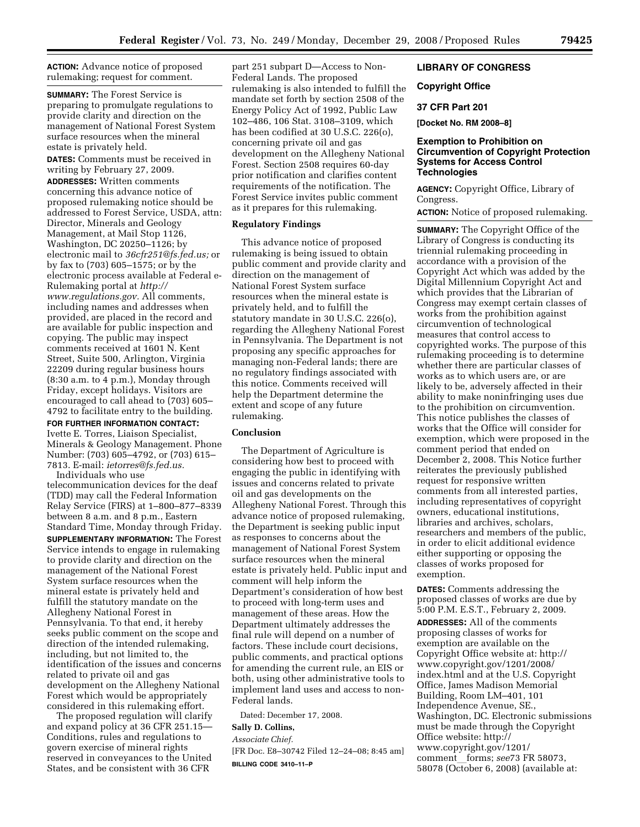**ACTION:** Advance notice of proposed rulemaking; request for comment.

**SUMMARY:** The Forest Service is preparing to promulgate regulations to provide clarity and direction on the management of National Forest System surface resources when the mineral estate is privately held.

**DATES:** Comments must be received in writing by February 27, 2009.

**ADDRESSES:** Written comments concerning this advance notice of proposed rulemaking notice should be addressed to Forest Service, USDA, attn: Director, Minerals and Geology Management, at Mail Stop 1126, Washington, DC 20250–1126; by electronic mail to *36cfr251@fs.fed.us;* or by fax to (703) 605–1575; or by the electronic process available at Federal e-Rulemaking portal at *http:// www.regulations.gov.* All comments, including names and addresses when provided, are placed in the record and are available for public inspection and copying. The public may inspect comments received at 1601 N. Kent Street, Suite 500, Arlington, Virginia 22209 during regular business hours (8:30 a.m. to 4 p.m.), Monday through Friday, except holidays. Visitors are encouraged to call ahead to (703) 605– 4792 to facilitate entry to the building.

**FOR FURTHER INFORMATION CONTACT:**  Ivette E. Torres, Liaison Specialist,

Minerals & Geology Management. Phone Number: (703) 605–4792, or (703) 615– 7813. E-mail: *ietorres@fs.fed.us.*  Individuals who use

telecommunication devices for the deaf (TDD) may call the Federal Information Relay Service (FIRS) at 1–800–877–8339 between 8 a.m. and 8 p.m., Eastern Standard Time, Monday through Friday. **SUPPLEMENTARY INFORMATION:** The Forest Service intends to engage in rulemaking to provide clarity and direction on the management of the National Forest System surface resources when the mineral estate is privately held and fulfill the statutory mandate on the Allegheny National Forest in Pennsylvania. To that end, it hereby seeks public comment on the scope and direction of the intended rulemaking, including, but not limited to, the identification of the issues and concerns related to private oil and gas development on the Allegheny National Forest which would be appropriately considered in this rulemaking effort.

The proposed regulation will clarify and expand policy at 36 CFR 251.15-Conditions, rules and regulations to govern exercise of mineral rights reserved in conveyances to the United States, and be consistent with 36 CFR

part 251 subpart D—Access to Non-Federal Lands. The proposed rulemaking is also intended to fulfill the mandate set forth by section 2508 of the Energy Policy Act of 1992, Public Law 102–486, 106 Stat. 3108–3109, which has been codified at 30 U.S.C. 226(o), concerning private oil and gas development on the Allegheny National Forest. Section 2508 requires 60-day prior notification and clarifies content requirements of the notification. The Forest Service invites public comment as it prepares for this rulemaking.

### **Regulatory Findings**

This advance notice of proposed rulemaking is being issued to obtain public comment and provide clarity and direction on the management of National Forest System surface resources when the mineral estate is privately held, and to fulfill the statutory mandate in 30 U.S.C. 226(o), regarding the Allegheny National Forest in Pennsylvania. The Department is not proposing any specific approaches for managing non-Federal lands; there are no regulatory findings associated with this notice. Comments received will help the Department determine the extent and scope of any future rulemaking.

#### **Conclusion**

The Department of Agriculture is considering how best to proceed with engaging the public in identifying with issues and concerns related to private oil and gas developments on the Allegheny National Forest. Through this advance notice of proposed rulemaking, the Department is seeking public input as responses to concerns about the management of National Forest System surface resources when the mineral estate is privately held. Public input and comment will help inform the Department's consideration of how best to proceed with long-term uses and management of these areas. How the Department ultimately addresses the final rule will depend on a number of factors. These include court decisions, public comments, and practical options for amending the current rule, an EIS or both, using other administrative tools to implement land uses and access to non-Federal lands.

Dated: December 17, 2008.

## **Sally D. Collins,**

*Associate Chief.*  [FR Doc. E8–30742 Filed 12–24–08; 8:45 am] **BILLING CODE 3410–11–P** 

## **LIBRARY OF CONGRESS**

# **Copyright Office**

## **37 CFR Part 201**

**[Docket No. RM 2008–8]** 

### **Exemption to Prohibition on Circumvention of Copyright Protection Systems for Access Control Technologies**

**AGENCY:** Copyright Office, Library of Congress.

**ACTION:** Notice of proposed rulemaking.

**SUMMARY:** The Copyright Office of the Library of Congress is conducting its triennial rulemaking proceeding in accordance with a provision of the Copyright Act which was added by the Digital Millennium Copyright Act and which provides that the Librarian of Congress may exempt certain classes of works from the prohibition against circumvention of technological measures that control access to copyrighted works. The purpose of this rulemaking proceeding is to determine whether there are particular classes of works as to which users are, or are likely to be, adversely affected in their ability to make noninfringing uses due to the prohibition on circumvention. This notice publishes the classes of works that the Office will consider for exemption, which were proposed in the comment period that ended on December 2, 2008. This Notice further reiterates the previously published request for responsive written comments from all interested parties, including representatives of copyright owners, educational institutions, libraries and archives, scholars, researchers and members of the public, in order to elicit additional evidence either supporting or opposing the classes of works proposed for exemption.

**DATES:** Comments addressing the proposed classes of works are due by 5:00 P.M. E.S.T., February 2, 2009. **ADDRESSES:** All of the comments proposing classes of works for exemption are available on the Copyright Office website at: http:// www.copyright.gov/1201/2008/ index.html and at the U.S. Copyright Office, James Madison Memorial Building, Room LM–401, 101 Independence Avenue, SE., Washington, DC. Electronic submissions must be made through the Copyright Office website: http:// www.copyright.gov/1201/ commentlforms; *see*73 FR 58073, 58078 (October 6, 2008) (available at: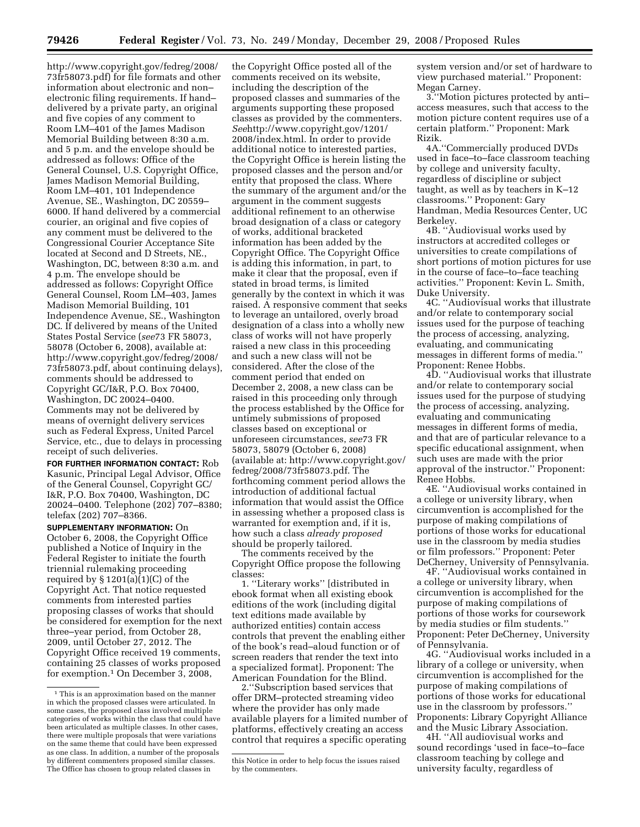http://www.copyright.gov/fedreg/2008/ 73fr58073.pdf) for file formats and other information about electronic and non– electronic filing requirements. If hand– delivered by a private party, an original and five copies of any comment to Room LM–401 of the James Madison Memorial Building between 8:30 a.m. and 5 p.m. and the envelope should be addressed as follows: Office of the General Counsel, U.S. Copyright Office, James Madison Memorial Building, Room LM–401, 101 Independence Avenue, SE., Washington, DC 20559– 6000. If hand delivered by a commercial courier, an original and five copies of any comment must be delivered to the Congressional Courier Acceptance Site located at Second and D Streets, NE., Washington, DC, between 8:30 a.m. and 4 p.m. The envelope should be addressed as follows: Copyright Office General Counsel, Room LM–403, James Madison Memorial Building, 101 Independence Avenue, SE., Washington DC. If delivered by means of the United States Postal Service (*see*73 FR 58073, 58078 (October 6, 2008), available at: http://www.copyright.gov/fedreg/2008/ 73fr58073.pdf, about continuing delays), comments should be addressed to Copyright GC/I&R, P.O. Box 70400, Washington, DC 20024–0400. Comments may not be delivered by means of overnight delivery services such as Federal Express, United Parcel Service, etc., due to delays in processing receipt of such deliveries.

**FOR FURTHER INFORMATION CONTACT:** Rob Kasunic, Principal Legal Advisor, Office of the General Counsel, Copyright GC/ I&R, P.O. Box 70400, Washington, DC 20024–0400. Telephone (202) 707–8380; telefax (202) 707–8366.

**SUPPLEMENTARY INFORMATION:** On October 6, 2008, the Copyright Office published a Notice of Inquiry in the Federal Register to initiate the fourth triennial rulemaking proceeding required by  $\S 1201(a)(1)(C)$  of the Copyright Act. That notice requested comments from interested parties proposing classes of works that should be considered for exemption for the next three–year period, from October 28, 2009, until October 27, 2012. The Copyright Office received 19 comments, containing 25 classes of works proposed for exemption.1 On December 3, 2008,

the Copyright Office posted all of the comments received on its website, including the description of the proposed classes and summaries of the arguments supporting these proposed classes as provided by the commenters. *See*http://www.copyright.gov/1201/ 2008/index.html. In order to provide additional notice to interested parties, the Copyright Office is herein listing the proposed classes and the person and/or entity that proposed the class. Where the summary of the argument and/or the argument in the comment suggests additional refinement to an otherwise broad designation of a class or category of works, additional bracketed information has been added by the Copyright Office. The Copyright Office is adding this information, in part, to make it clear that the proposal, even if stated in broad terms, is limited generally by the context in which it was raised. A responsive comment that seeks to leverage an untailored, overly broad designation of a class into a wholly new class of works will not have properly raised a new class in this proceeding and such a new class will not be considered. After the close of the comment period that ended on December 2, 2008, a new class can be raised in this proceeding only through the process established by the Office for untimely submissions of proposed classes based on exceptional or unforeseen circumstances, *see*73 FR 58073, 58079 (October 6, 2008) (available at: http://www.copyright.gov/ fedreg/2008/73fr58073.pdf. The forthcoming comment period allows the introduction of additional factual information that would assist the Office in assessing whether a proposed class is warranted for exemption and, if it is, how such a class *already proposed*  should be properly tailored.

The comments received by the Copyright Office propose the following classes:

1. ''Literary works'' [distributed in ebook format when all existing ebook editions of the work (including digital text editions made available by authorized entities) contain access controls that prevent the enabling either of the book's read–aloud function or of screen readers that render the text into a specialized format]. Proponent: The American Foundation for the Blind.

2.''Subscription based services that offer DRM–protected streaming video where the provider has only made available players for a limited number of platforms, effectively creating an access control that requires a specific operating

system version and/or set of hardware to view purchased material.'' Proponent: Megan Carney.

3.''Motion pictures protected by anti– access measures, such that access to the motion picture content requires use of a certain platform.'' Proponent: Mark Rizik.

4A.''Commercially produced DVDs used in face–to–face classroom teaching by college and university faculty, regardless of discipline or subject taught, as well as by teachers in K–12 classrooms.'' Proponent: Gary Handman, Media Resources Center, UC Berkeley.

4B. ''Audiovisual works used by instructors at accredited colleges or universities to create compilations of short portions of motion pictures for use in the course of face–to–face teaching activities.'' Proponent: Kevin L. Smith, Duke University.

4C. ''Audiovisual works that illustrate and/or relate to contemporary social issues used for the purpose of teaching the process of accessing, analyzing, evaluating, and communicating messages in different forms of media.'' Proponent: Renee Hobbs.

4D. ''Audiovisual works that illustrate and/or relate to contemporary social issues used for the purpose of studying the process of accessing, analyzing, evaluating and communicating messages in different forms of media, and that are of particular relevance to a specific educational assignment, when such uses are made with the prior approval of the instructor.'' Proponent: Renee Hobbs.

4E. ''Audiovisual works contained in a college or university library, when circumvention is accomplished for the purpose of making compilations of portions of those works for educational use in the classroom by media studies or film professors.'' Proponent: Peter DeCherney, University of Pennsylvania.

4F. ''Audiovisual works contained in a college or university library, when circumvention is accomplished for the purpose of making compilations of portions of those works for coursework by media studies or film students.'' Proponent: Peter DeCherney, University of Pennsylvania.

4G. ''Audiovisual works included in a library of a college or university, when circumvention is accomplished for the purpose of making compilations of portions of those works for educational use in the classroom by professors.'' Proponents: Library Copyright Alliance and the Music Library Association.

4H. ''All audiovisual works and sound recordings 'used in face–to–face classroom teaching by college and university faculty, regardless of

<sup>&</sup>lt;sup>1</sup> This is an approximation based on the manner in which the proposed classes were articulated. In some cases, the proposed class involved multiple categories of works within the class that could have been articulated as multiple classes. In other cases, there were multiple proposals that were variations on the same theme that could have been expressed as one class. In addition, a number of the proposals by different commenters proposed similar classes. The Office has chosen to group related classes in

this Notice in order to help focus the issues raised by the commenters.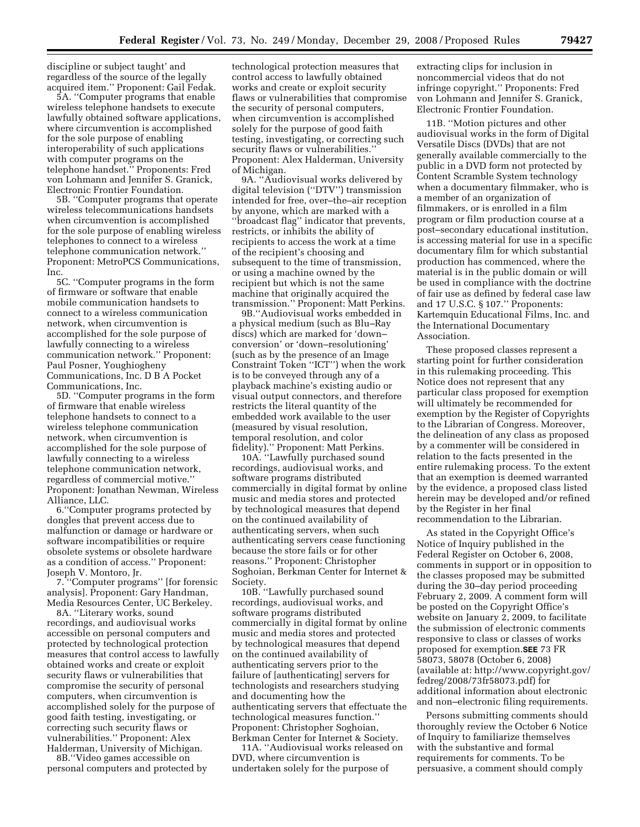discipline or subject taught' and regardless of the source of the legally acquired item.'' Proponent: Gail Fedak.

5A. ''Computer programs that enable wireless telephone handsets to execute lawfully obtained software applications, where circumvention is accomplished for the sole purpose of enabling interoperability of such applications with computer programs on the telephone handset.'' Proponents: Fred von Lohmann and Jennifer S. Granick, Electronic Frontier Foundation.

5B. ''Computer programs that operate wireless telecommunications handsets when circumvention is accomplished for the sole purpose of enabling wireless telephones to connect to a wireless telephone communication network.'' Proponent: MetroPCS Communications, Inc.

5C. ''Computer programs in the form of firmware or software that enable mobile communication handsets to connect to a wireless communication network, when circumvention is accomplished for the sole purpose of lawfully connecting to a wireless communication network.'' Proponent: Paul Posner, Youghiogheny Communications, Inc. D B A Pocket Communications, Inc.

5D. ''Computer programs in the form of firmware that enable wireless telephone handsets to connect to a wireless telephone communication network, when circumvention is accomplished for the sole purpose of lawfully connecting to a wireless telephone communication network, regardless of commercial motive.'' Proponent: Jonathan Newman, Wireless Alliance, LLC.

6.''Computer programs protected by dongles that prevent access due to malfunction or damage or hardware or software incompatibilities or require obsolete systems or obsolete hardware as a condition of access.'' Proponent: Joseph V. Montoro, Jr.

7. ''Computer programs'' [for forensic analysis]. Proponent: Gary Handman, Media Resources Center, UC Berkeley.

8A. ''Literary works, sound recordings, and audiovisual works accessible on personal computers and protected by technological protection measures that control access to lawfully obtained works and create or exploit security flaws or vulnerabilities that compromise the security of personal computers, when circumvention is accomplished solely for the purpose of good faith testing, investigating, or correcting such security flaws or vulnerabilities.'' Proponent: Alex Halderman, University of Michigan.

8B.''Video games accessible on personal computers and protected by technological protection measures that control access to lawfully obtained works and create or exploit security flaws or vulnerabilities that compromise the security of personal computers, when circumvention is accomplished solely for the purpose of good faith testing, investigating, or correcting such security flaws or vulnerabilities.'' Proponent: Alex Halderman, University of Michigan.

9A. ''Audiovisual works delivered by digital television (''DTV'') transmission intended for free, over–the–air reception by anyone, which are marked with a ''broadcast flag'' indicator that prevents, restricts, or inhibits the ability of recipients to access the work at a time of the recipient's choosing and subsequent to the time of transmission, or using a machine owned by the recipient but which is not the same machine that originally acquired the transmission.'' Proponent: Matt Perkins.

9B.''Audiovisual works embedded in a physical medium (such as Blu–Ray discs) which are marked for 'down– conversion' or 'down–resolutioning' (such as by the presence of an Image Constraint Token ''ICT'') when the work is to be conveyed through any of a playback machine's existing audio or visual output connectors, and therefore restricts the literal quantity of the embedded work available to the user (measured by visual resolution, temporal resolution, and color fidelity).'' Proponent: Matt Perkins.

10A. ''Lawfully purchased sound recordings, audiovisual works, and software programs distributed commercially in digital format by online music and media stores and protected by technological measures that depend on the continued availability of authenticating servers, when such authenticating servers cease functioning because the store fails or for other reasons.'' Proponent: Christopher Soghoian, Berkman Center for Internet & Society.

10B. ''Lawfully purchased sound recordings, audiovisual works, and software programs distributed commercially in digital format by online music and media stores and protected by technological measures that depend on the continued availability of authenticating servers prior to the failure of [authenticating] servers for technologists and researchers studying and documenting how the authenticating servers that effectuate the technological measures function.'' Proponent: Christopher Soghoian, Berkman Center for Internet & Society.

11A. ''Audiovisual works released on DVD, where circumvention is undertaken solely for the purpose of

extracting clips for inclusion in noncommercial videos that do not infringe copyright.'' Proponents: Fred von Lohmann and Jennifer S. Granick, Electronic Frontier Foundation.

11B. ''Motion pictures and other audiovisual works in the form of Digital Versatile Discs (DVDs) that are not generally available commercially to the public in a DVD form not protected by Content Scramble System technology when a documentary filmmaker, who is a member of an organization of filmmakers, or is enrolled in a film program or film production course at a post–secondary educational institution, is accessing material for use in a specific documentary film for which substantial production has commenced, where the material is in the public domain or will be used in compliance with the doctrine of fair use as defined by federal case law and 17 U.S.C. § 107.'' Proponents: Kartemquin Educational Films, Inc. and the International Documentary Association.

These proposed classes represent a starting point for further consideration in this rulemaking proceeding. This Notice does not represent that any particular class proposed for exemption will ultimately be recommended for exemption by the Register of Copyrights to the Librarian of Congress. Moreover, the delineation of any class as proposed by a commenter will be considered in relation to the facts presented in the entire rulemaking process. To the extent that an exemption is deemed warranted by the evidence, a proposed class listed herein may be developed and/or refined by the Register in her final recommendation to the Librarian.

As stated in the Copyright Office's Notice of Inquiry published in the Federal Register on October 6, 2008, comments in support or in opposition to the classes proposed may be submitted during the 30–day period proceeding February 2, 2009. A comment form will be posted on the Copyright Office's website on January 2, 2009, to facilitate the submission of electronic comments responsive to class or classes of works proposed for exemption.**SEE** 73 FR 58073, 58078 (October 6, 2008) (available at: http://www.copyright.gov/ fedreg/2008/73fr58073.pdf) for additional information about electronic and non–electronic filing requirements.

Persons submitting comments should thoroughly review the October 6 Notice of Inquiry to familiarize themselves with the substantive and formal requirements for comments. To be persuasive, a comment should comply